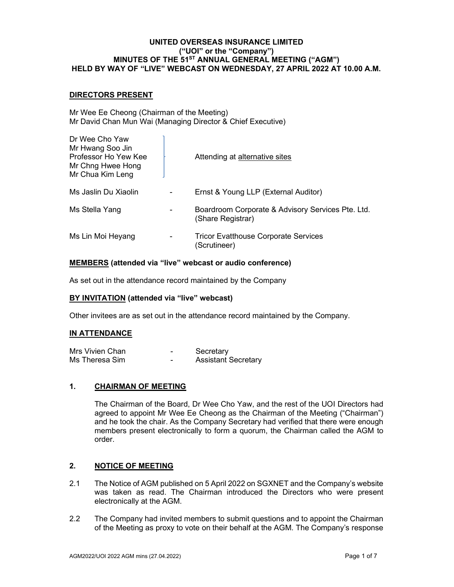## DIRECTORS PRESENT

Mr Wee Ee Cheong (Chairman of the Meeting) Mr David Chan Mun Wai (Managing Director & Chief Executive)

| Dr Wee Cho Yaw<br>Mr Hwang Soo Jin<br>Professor Ho Yew Kee<br>Mr Chng Hwee Hong<br>Mr Chua Kim Leng | Attending at alternative sites                                         |
|-----------------------------------------------------------------------------------------------------|------------------------------------------------------------------------|
| Ms Jaslin Du Xiaolin                                                                                | Ernst & Young LLP (External Auditor)                                   |
| Ms Stella Yang                                                                                      | Boardroom Corporate & Advisory Services Pte. Ltd.<br>(Share Registrar) |
| Ms Lin Moi Heyang                                                                                   | <b>Tricor Evatthouse Corporate Services</b><br>(Scrutineer)            |

# MEMBERS (attended via "live" webcast or audio conference)

As set out in the attendance record maintained by the Company

## BY INVITATION (attended via "live" webcast)

Other invitees are as set out in the attendance record maintained by the Company.

## IN ATTENDANCE

| Mrs Vivien Chan | Secretary                  |
|-----------------|----------------------------|
| Ms Theresa Sim  | <b>Assistant Secretary</b> |

#### 1. CHAIRMAN OF MEETING

The Chairman of the Board, Dr Wee Cho Yaw, and the rest of the UOI Directors had agreed to appoint Mr Wee Ee Cheong as the Chairman of the Meeting ("Chairman") and he took the chair. As the Company Secretary had verified that there were enough members present electronically to form a quorum, the Chairman called the AGM to order.

### 2. NOTICE OF MEETING

- 2.1 The Notice of AGM published on 5 April 2022 on SGXNET and the Company's website was taken as read. The Chairman introduced the Directors who were present electronically at the AGM.
- 2.2 The Company had invited members to submit questions and to appoint the Chairman of the Meeting as proxy to vote on their behalf at the AGM. The Company's response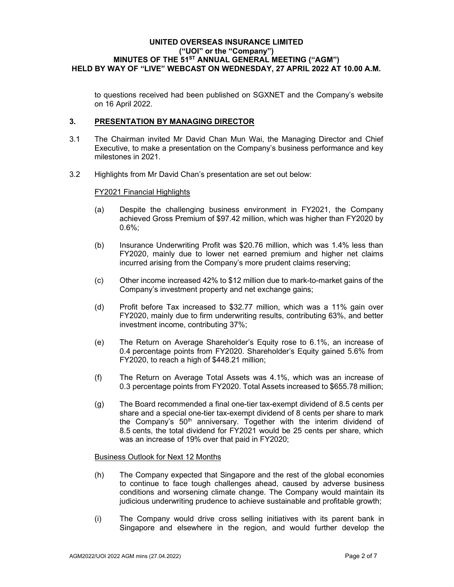to questions received had been published on SGXNET and the Company's website on 16 April 2022.

### 3. PRESENTATION BY MANAGING DIRECTOR

- 3.1 The Chairman invited Mr David Chan Mun Wai, the Managing Director and Chief Executive, to make a presentation on the Company's business performance and key milestones in 2021.
- 3.2 Highlights from Mr David Chan's presentation are set out below:

### FY2021 Financial Highlights

- (a) Despite the challenging business environment in FY2021, the Company achieved Gross Premium of \$97.42 million, which was higher than FY2020 by 0.6%;
- (b) Insurance Underwriting Profit was \$20.76 million, which was 1.4% less than FY2020, mainly due to lower net earned premium and higher net claims incurred arising from the Company's more prudent claims reserving;
- (c) Other income increased 42% to \$12 million due to mark-to-market gains of the Company's investment property and net exchange gains;
- (d) Profit before Tax increased to \$32.77 million, which was a 11% gain over FY2020, mainly due to firm underwriting results, contributing 63%, and better investment income, contributing 37%;
- (e) The Return on Average Shareholder's Equity rose to 6.1%, an increase of 0.4 percentage points from FY2020. Shareholder's Equity gained 5.6% from FY2020, to reach a high of \$448.21 million;
- (f) The Return on Average Total Assets was 4.1%, which was an increase of 0.3 percentage points from FY2020. Total Assets increased to \$655.78 million;
- (g) The Board recommended a final one-tier tax-exempt dividend of 8.5 cents per share and a special one-tier tax-exempt dividend of 8 cents per share to mark the Company's  $50<sup>th</sup>$  anniversary. Together with the interim dividend of 8.5 cents, the total dividend for FY2021 would be 25 cents per share, which was an increase of 19% over that paid in FY2020;

#### Business Outlook for Next 12 Months

- (h) The Company expected that Singapore and the rest of the global economies to continue to face tough challenges ahead, caused by adverse business conditions and worsening climate change. The Company would maintain its judicious underwriting prudence to achieve sustainable and profitable growth;
- (i) The Company would drive cross selling initiatives with its parent bank in Singapore and elsewhere in the region, and would further develop the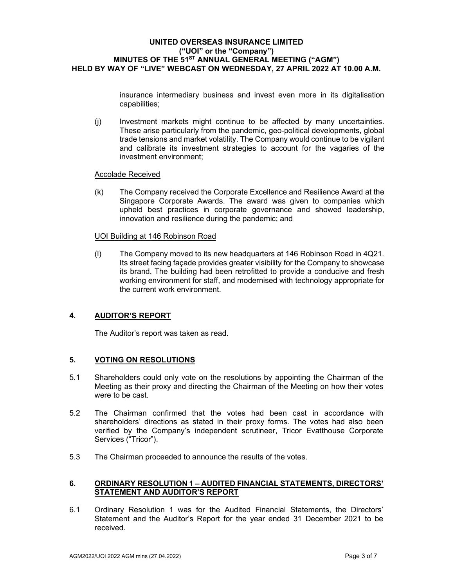insurance intermediary business and invest even more in its digitalisation capabilities;

(j) Investment markets might continue to be affected by many uncertainties. These arise particularly from the pandemic, geo-political developments, global trade tensions and market volatility. The Company would continue to be vigilant and calibrate its investment strategies to account for the vagaries of the investment environment;

#### Accolade Received

(k) The Company received the Corporate Excellence and Resilience Award at the Singapore Corporate Awards. The award was given to companies which upheld best practices in corporate governance and showed leadership, innovation and resilience during the pandemic; and

#### UOI Building at 146 Robinson Road

(l) The Company moved to its new headquarters at 146 Robinson Road in 4Q21. Its street facing façade provides greater visibility for the Company to showcase its brand. The building had been retrofitted to provide a conducive and fresh working environment for staff, and modernised with technology appropriate for the current work environment.

## 4. AUDITOR'S REPORT

The Auditor's report was taken as read.

#### 5. VOTING ON RESOLUTIONS

- 5.1 Shareholders could only vote on the resolutions by appointing the Chairman of the Meeting as their proxy and directing the Chairman of the Meeting on how their votes were to be cast.
- 5.2 The Chairman confirmed that the votes had been cast in accordance with shareholders' directions as stated in their proxy forms. The votes had also been verified by the Company's independent scrutineer, Tricor Evatthouse Corporate Services ("Tricor").
- 5.3 The Chairman proceeded to announce the results of the votes.

### 6. ORDINARY RESOLUTION 1 – AUDITED FINANCIAL STATEMENTS, DIRECTORS' STATEMENT AND AUDITOR'S REPORT

6.1 Ordinary Resolution 1 was for the Audited Financial Statements, the Directors' Statement and the Auditor's Report for the year ended 31 December 2021 to be received.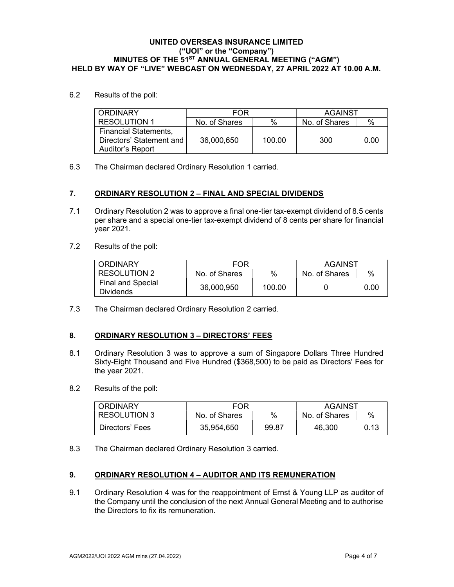6.2 Results of the poll:

| <b>ORDINARY</b>                                                              | FOR           |        | AGAINST       |      |
|------------------------------------------------------------------------------|---------------|--------|---------------|------|
| <b>RESOLUTION 1</b>                                                          | No. of Shares | $\%$   | No. of Shares | $\%$ |
| <b>Financial Statements,</b><br>Directors' Statement and<br>Auditor's Report | 36,000,650    | 100.00 | 300           | 0.00 |

6.3 The Chairman declared Ordinary Resolution 1 carried.

## 7. ORDINARY RESOLUTION 2 – FINAL AND SPECIAL DIVIDENDS

- 7.1 Ordinary Resolution 2 was to approve a final one-tier tax-exempt dividend of 8.5 cents per share and a special one-tier tax-exempt dividend of 8 cents per share for financial year 2021.
- 7.2 Results of the poll:

| <b>ORDINARY</b>                              | FOR           |        | <b>AGAINST</b> |      |
|----------------------------------------------|---------------|--------|----------------|------|
| <b>RESOLUTION 2</b>                          | No. of Shares | %      | No. of Shares  | %    |
| <b>Final and Special</b><br><b>Dividends</b> | 36,000,950    | 100.00 |                | 0.00 |

7.3 The Chairman declared Ordinary Resolution 2 carried.

#### 8. ORDINARY RESOLUTION 3 – DIRECTORS' FEES

- 8.1 Ordinary Resolution 3 was to approve a sum of Singapore Dollars Three Hundred Sixty-Eight Thousand and Five Hundred (\$368,500) to be paid as Directors' Fees for the year 2021.
- 8.2 Results of the poll:

| <b>ORDINARY</b>     | <b>FOR</b>    |       | <b>AGAINST</b> |      |
|---------------------|---------------|-------|----------------|------|
| <b>RESOLUTION 3</b> | No. of Shares | %     | No. of Shares  | $\%$ |
| Directors' Fees     | 35.954.650    | 99.87 | 46.300         | 0.13 |

8.3 The Chairman declared Ordinary Resolution 3 carried.

## 9. ORDINARY RESOLUTION 4 – AUDITOR AND ITS REMUNERATION

9.1 Ordinary Resolution 4 was for the reappointment of Ernst & Young LLP as auditor of the Company until the conclusion of the next Annual General Meeting and to authorise the Directors to fix its remuneration.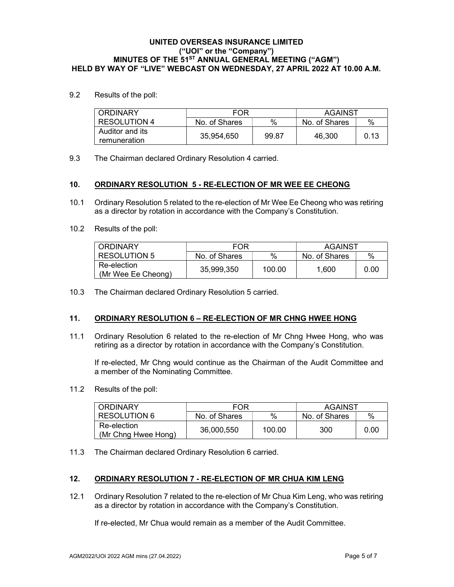9.2 Results of the poll:

| <b>ORDINARY</b>                 | FOR           |       | <b>AGAINST</b> |      |
|---------------------------------|---------------|-------|----------------|------|
| <b>RESOLUTION 4</b>             | No. of Shares | $\%$  | No. of Shares  | $\%$ |
| Auditor and its<br>remuneration | 35,954,650    | 99.87 | 46.300         | 0.13 |

9.3 The Chairman declared Ordinary Resolution 4 carried.

## 10. ORDINARY RESOLUTION 5 - RE-ELECTION OF MR WEE EE CHEONG

- 10.1 Ordinary Resolution 5 related to the re-election of Mr Wee Ee Cheong who was retiring as a director by rotation in accordance with the Company's Constitution.
- 10.2 Results of the poll:

| <b>ORDINARY</b>                   | FOR           |        | AGAINST       |      |
|-----------------------------------|---------------|--------|---------------|------|
| <b>RESOLUTION 5</b>               | No. of Shares | $\%$   | No. of Shares | $\%$ |
| Re-election<br>(Mr Wee Ee Cheong) | 35,999,350    | 100.00 | 1.600         | 0.00 |

10.3 The Chairman declared Ordinary Resolution 5 carried.

## 11. ORDINARY RESOLUTION 6 – RE-ELECTION OF MR CHNG HWEE HONG

11.1 Ordinary Resolution 6 related to the re-election of Mr Chng Hwee Hong, who was retiring as a director by rotation in accordance with the Company's Constitution.

If re-elected, Mr Chng would continue as the Chairman of the Audit Committee and a member of the Nominating Committee.

11.2 Results of the poll:

| <b>ORDINARY</b>                    | FOR           |        | AGAINST       |      |
|------------------------------------|---------------|--------|---------------|------|
| RESOLUTION 6                       | No. of Shares | $\%$   | No. of Shares | $\%$ |
| Re-election<br>(Mr Chna Hwee Hona) | 36,000,550    | 100.00 | 300           | 0.00 |

11.3 The Chairman declared Ordinary Resolution 6 carried.

## 12. ORDINARY RESOLUTION 7 - RE-ELECTION OF MR CHUA KIM LENG

12.1 Ordinary Resolution 7 related to the re-election of Mr Chua Kim Leng, who was retiring as a director by rotation in accordance with the Company's Constitution.

If re-elected, Mr Chua would remain as a member of the Audit Committee.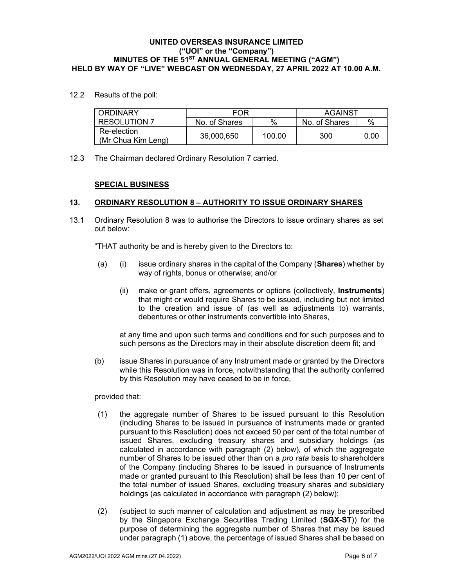12.2 Results of the poll:

| <b>ORDINARY</b>                   | FOR           |        | <b>AGAINST</b> |      |
|-----------------------------------|---------------|--------|----------------|------|
| <b>RESOLUTION 7</b>               | No. of Shares | %      | No. of Shares  | $\%$ |
| Re-election<br>(Mr Chua Kim Leng) | 36,000,650    | 100.00 | 300            | 0.00 |

12.3 The Chairman declared Ordinary Resolution 7 carried.

### SPECIAL BUSINESS

### 13. ORDINARY RESOLUTION 8 – AUTHORITY TO ISSUE ORDINARY SHARES

13.1 Ordinary Resolution 8 was to authorise the Directors to issue ordinary shares as set out below:

"THAT authority be and is hereby given to the Directors to:

- (a) (i) issue ordinary shares in the capital of the Company (Shares) whether by way of rights, bonus or otherwise; and/or
	- (ii) make or grant offers, agreements or options (collectively, **Instruments**) that might or would require Shares to be issued, including but not limited to the creation and issue of (as well as adjustments to) warrants, debentures or other instruments convertible into Shares,

 at any time and upon such terms and conditions and for such purposes and to such persons as the Directors may in their absolute discretion deem fit; and

(b) issue Shares in pursuance of any Instrument made or granted by the Directors while this Resolution was in force, notwithstanding that the authority conferred by this Resolution may have ceased to be in force,

provided that:

- (1) the aggregate number of Shares to be issued pursuant to this Resolution (including Shares to be issued in pursuance of instruments made or granted pursuant to this Resolution) does not exceed 50 per cent of the total number of issued Shares, excluding treasury shares and subsidiary holdings (as calculated in accordance with paragraph (2) below), of which the aggregate number of Shares to be issued other than on a *pro rata* basis to shareholders of the Company (including Shares to be issued in pursuance of Instruments made or granted pursuant to this Resolution) shall be less than 10 per cent of the total number of issued Shares, excluding treasury shares and subsidiary holdings (as calculated in accordance with paragraph (2) below);
- (2) (subject to such manner of calculation and adjustment as may be prescribed by the Singapore Exchange Securities Trading Limited (SGX-ST)) for the purpose of determining the aggregate number of Shares that may be issued under paragraph (1) above, the percentage of issued Shares shall be based on